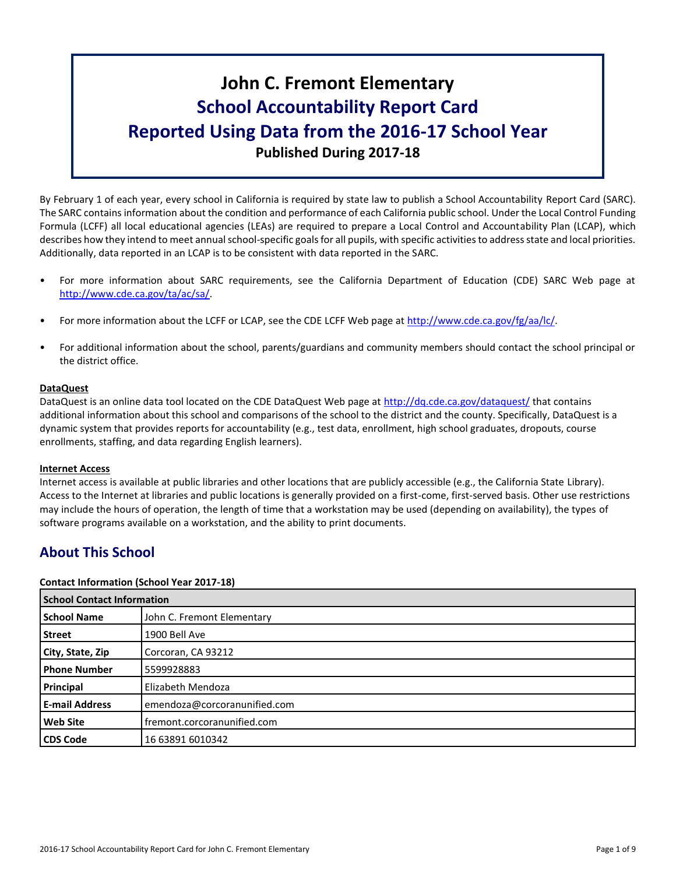# **John C. Fremont Elementary School Accountability Report Card Reported Using Data from the 2016-17 School Year Published During 2017-18**

By February 1 of each year, every school in California is required by state law to publish a School Accountability Report Card (SARC). The SARC contains information about the condition and performance of each California public school. Under the Local Control Funding Formula (LCFF) all local educational agencies (LEAs) are required to prepare a Local Control and Accountability Plan (LCAP), which describes how they intend to meet annual school-specific goals for all pupils, with specific activities to address state and local priorities. Additionally, data reported in an LCAP is to be consistent with data reported in the SARC.

- For more information about SARC requirements, see the California Department of Education (CDE) SARC Web page at [http://www.cde.ca.gov/ta/ac/sa/.](http://www.cde.ca.gov/ta/ac/sa/)
- For more information about the LCFF or LCAP, see the CDE LCFF Web page at [http://www.cde.ca.gov/fg/aa/lc/.](http://www.cde.ca.gov/fg/aa/lc/)
- For additional information about the school, parents/guardians and community members should contact the school principal or the district office.

# **DataQuest**

DataQuest is an online data tool located on the CDE DataQuest Web page at<http://dq.cde.ca.gov/dataquest/> that contains additional information about this school and comparisons of the school to the district and the county. Specifically, DataQuest is a dynamic system that provides reports for accountability (e.g., test data, enrollment, high school graduates, dropouts, course enrollments, staffing, and data regarding English learners).

# **Internet Access**

Internet access is available at public libraries and other locations that are publicly accessible (e.g., the California State Library). Access to the Internet at libraries and public locations is generally provided on a first-come, first-served basis. Other use restrictions may include the hours of operation, the length of time that a workstation may be used (depending on availability), the types of software programs available on a workstation, and the ability to print documents.

# **About This School**

# **Contact Information (School Year 2017-18)**

| <b>School Contact Information</b> |                              |  |  |
|-----------------------------------|------------------------------|--|--|
| <b>School Name</b>                | John C. Fremont Elementary   |  |  |
| Street                            | 1900 Bell Ave                |  |  |
| City, State, Zip                  | Corcoran, CA 93212           |  |  |
| <b>Phone Number</b>               | 5599928883                   |  |  |
| Principal                         | Elizabeth Mendoza            |  |  |
| <b>E-mail Address</b>             | emendoza@corcoranunified.com |  |  |
| <b>Web Site</b>                   | fremont.corcoranunified.com  |  |  |
| <b>CDS Code</b>                   | 16 63891 6010342             |  |  |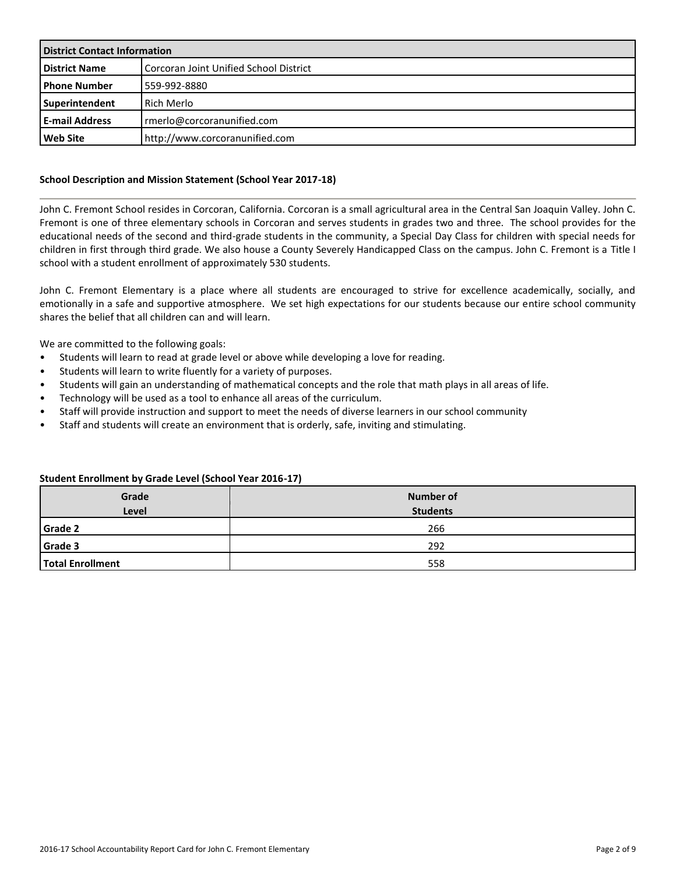| <b>District Contact Information</b> |                                        |  |  |
|-------------------------------------|----------------------------------------|--|--|
| <b>District Name</b>                | Corcoran Joint Unified School District |  |  |
| <b>Phone Number</b>                 | 559-992-8880                           |  |  |
| Superintendent                      | <b>Rich Merlo</b>                      |  |  |
| <b>E-mail Address</b>               | rmerlo@corcoranunified.com             |  |  |
| <b>Web Site</b>                     | http://www.corcoranunified.com         |  |  |

# **School Description and Mission Statement (School Year 2017-18)**

John C. Fremont School resides in Corcoran, California. Corcoran is a small agricultural area in the Central San Joaquin Valley. John C. Fremont is one of three elementary schools in Corcoran and serves students in grades two and three. The school provides for the educational needs of the second and third-grade students in the community, a Special Day Class for children with special needs for children in first through third grade. We also house a County Severely Handicapped Class on the campus. John C. Fremont is a Title I school with a student enrollment of approximately 530 students.

John C. Fremont Elementary is a place where all students are encouraged to strive for excellence academically, socially, and emotionally in a safe and supportive atmosphere. We set high expectations for our students because our entire school community shares the belief that all children can and will learn.

We are committed to the following goals:

- Students will learn to read at grade level or above while developing a love for reading.
- Students will learn to write fluently for a variety of purposes.
- Students will gain an understanding of mathematical concepts and the role that math plays in all areas of life.
- Technology will be used as a tool to enhance all areas of the curriculum.
- Staff will provide instruction and support to meet the needs of diverse learners in our school community
- Staff and students will create an environment that is orderly, safe, inviting and stimulating.

# **Student Enrollment by Grade Level (School Year 2016-17)**

| Grade<br><b>Level</b> | <b>Number of</b><br><b>Students</b> |
|-----------------------|-------------------------------------|
| <b>Grade 2</b>        | 266                                 |
| Grade 3               | 292                                 |
| Total Enrollment      | 558                                 |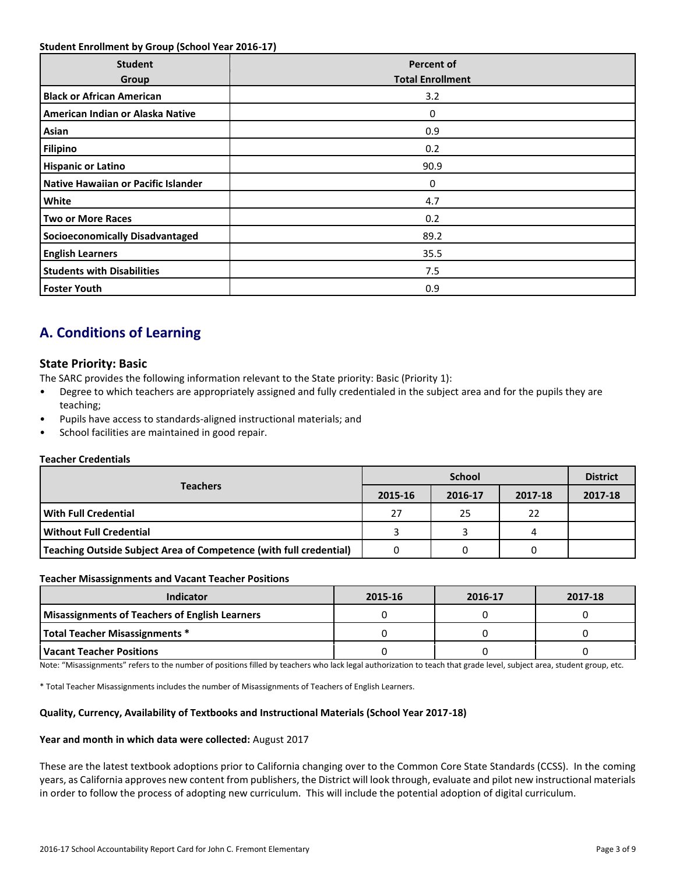### **Student Enrollment by Group (School Year 2016-17)**

| <b>Student</b><br>Group                | <b>Percent of</b><br><b>Total Enrollment</b> |
|----------------------------------------|----------------------------------------------|
| <b>Black or African American</b>       | 3.2                                          |
| American Indian or Alaska Native       | 0                                            |
| Asian                                  | 0.9                                          |
| <b>Filipino</b>                        | 0.2                                          |
| <b>Hispanic or Latino</b>              | 90.9                                         |
| Native Hawaiian or Pacific Islander    | 0                                            |
| White                                  | 4.7                                          |
| <b>Two or More Races</b>               | 0.2                                          |
| <b>Socioeconomically Disadvantaged</b> | 89.2                                         |
| <b>English Learners</b>                | 35.5                                         |
| <b>Students with Disabilities</b>      | 7.5                                          |
| <b>Foster Youth</b>                    | 0.9                                          |

# **A. Conditions of Learning**

# **State Priority: Basic**

The SARC provides the following information relevant to the State priority: Basic (Priority 1):

- Degree to which teachers are appropriately assigned and fully credentialed in the subject area and for the pupils they are teaching;
- Pupils have access to standards-aligned instructional materials; and
- School facilities are maintained in good repair.

# **Teacher Credentials**

|                                                                    |         | <b>District</b> |         |         |
|--------------------------------------------------------------------|---------|-----------------|---------|---------|
| <b>Teachers</b>                                                    | 2015-16 | 2016-17         | 2017-18 | 2017-18 |
| With Full Credential                                               | 27      | 25              | 22      |         |
| Without Full Credential                                            |         |                 | 4       |         |
| Teaching Outside Subject Area of Competence (with full credential) |         |                 | 0       |         |

#### **Teacher Misassignments and Vacant Teacher Positions**

| Indicator                                             | 2015-16 | 2016-17 | 2017-18 |
|-------------------------------------------------------|---------|---------|---------|
| <b>Misassignments of Teachers of English Learners</b> |         |         |         |
| Total Teacher Misassignments *                        |         |         |         |
| Vacant Teacher Positions                              |         |         |         |

Note: "Misassignments" refers to the number of positions filled by teachers who lack legal authorization to teach that grade level, subject area, student group, etc.

\* Total Teacher Misassignments includes the number of Misassignments of Teachers of English Learners.

#### **Quality, Currency, Availability of Textbooks and Instructional Materials (School Year 2017-18)**

#### **Year and month in which data were collected:** August 2017

These are the latest textbook adoptions prior to California changing over to the Common Core State Standards (CCSS). In the coming years, as California approves new content from publishers, the District will look through, evaluate and pilot new instructional materials in order to follow the process of adopting new curriculum. This will include the potential adoption of digital curriculum.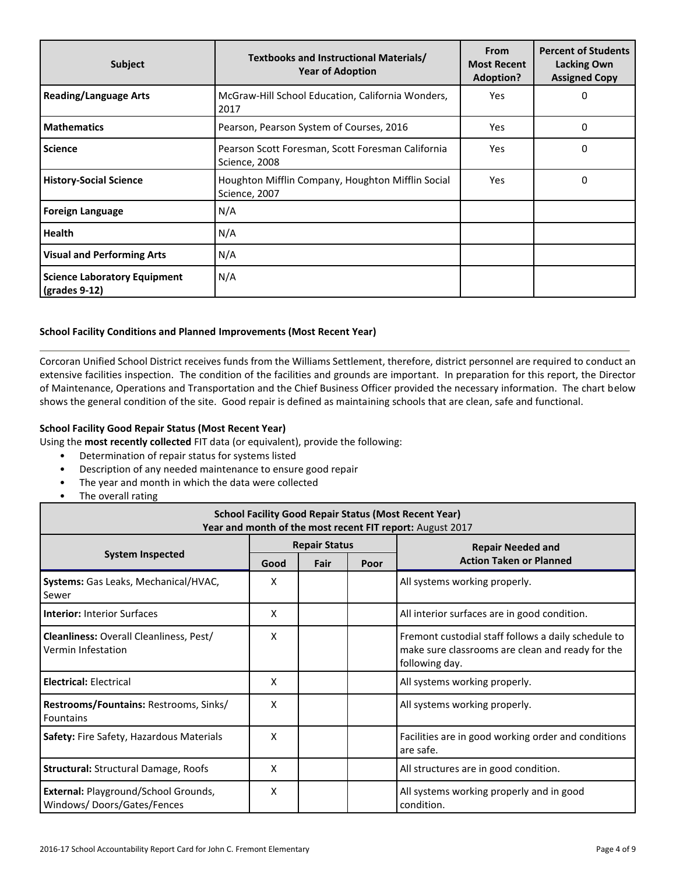| <b>Subject</b>                                                        | Textbooks and Instructional Materials/<br><b>Year of Adoption</b>  | <b>From</b><br><b>Most Recent</b><br><b>Adoption?</b> | <b>Percent of Students</b><br>Lacking Own<br><b>Assigned Copy</b> |
|-----------------------------------------------------------------------|--------------------------------------------------------------------|-------------------------------------------------------|-------------------------------------------------------------------|
| <b>Reading/Language Arts</b>                                          | McGraw-Hill School Education, California Wonders,<br>2017          | Yes                                                   | 0                                                                 |
| <b>Mathematics</b>                                                    | Pearson, Pearson System of Courses, 2016                           | <b>Yes</b>                                            | 0                                                                 |
| <b>Science</b>                                                        | Pearson Scott Foresman, Scott Foresman California<br>Science, 2008 | Yes                                                   | $\mathbf 0$                                                       |
| <b>History-Social Science</b>                                         | Houghton Mifflin Company, Houghton Mifflin Social<br>Science, 2007 | Yes                                                   | 0                                                                 |
| <b>Foreign Language</b>                                               | N/A                                                                |                                                       |                                                                   |
| <b>Health</b>                                                         | N/A                                                                |                                                       |                                                                   |
| <b>Visual and Performing Arts</b>                                     | N/A                                                                |                                                       |                                                                   |
| <b>Science Laboratory Equipment</b><br>$\left($ grades 9-12 $\right)$ | N/A                                                                |                                                       |                                                                   |

# **School Facility Conditions and Planned Improvements (Most Recent Year)**

Corcoran Unified School District receives funds from the Williams Settlement, therefore, district personnel are required to conduct an extensive facilities inspection. The condition of the facilities and grounds are important. In preparation for this report, the Director of Maintenance, Operations and Transportation and the Chief Business Officer provided the necessary information. The chart below shows the general condition of the site. Good repair is defined as maintaining schools that are clean, safe and functional.

#### **School Facility Good Repair Status (Most Recent Year)**

Using the **most recently collected** FIT data (or equivalent), provide the following:

- Determination of repair status for systems listed
- Description of any needed maintenance to ensure good repair
- The year and month in which the data were collected
- The overall rating

| <b>School Facility Good Repair Status (Most Recent Year)</b><br>Year and month of the most recent FIT report: August 2017 |      |                      |      |                                                                                                                           |  |  |  |
|---------------------------------------------------------------------------------------------------------------------------|------|----------------------|------|---------------------------------------------------------------------------------------------------------------------------|--|--|--|
| <b>System Inspected</b>                                                                                                   |      | <b>Repair Status</b> |      | <b>Repair Needed and</b>                                                                                                  |  |  |  |
|                                                                                                                           | Good | Fair                 | Poor | <b>Action Taken or Planned</b>                                                                                            |  |  |  |
| Systems: Gas Leaks, Mechanical/HVAC,<br>Sewer                                                                             | x    |                      |      | All systems working properly.                                                                                             |  |  |  |
| <b>Interior: Interior Surfaces</b>                                                                                        | Χ    |                      |      | All interior surfaces are in good condition.                                                                              |  |  |  |
| Cleanliness: Overall Cleanliness, Pest/<br>Vermin Infestation                                                             | x    |                      |      | Fremont custodial staff follows a daily schedule to<br>make sure classrooms are clean and ready for the<br>following day. |  |  |  |
| <b>Electrical: Electrical</b>                                                                                             | Χ    |                      |      | All systems working properly.                                                                                             |  |  |  |
| Restrooms/Fountains: Restrooms, Sinks/<br><b>Fountains</b>                                                                | x    |                      |      | All systems working properly.                                                                                             |  |  |  |
| Safety: Fire Safety, Hazardous Materials                                                                                  | X    |                      |      | Facilities are in good working order and conditions<br>are safe.                                                          |  |  |  |
| <b>Structural: Structural Damage, Roofs</b>                                                                               | x    |                      |      | All structures are in good condition.                                                                                     |  |  |  |
| External: Playground/School Grounds,<br>Windows/Doors/Gates/Fences                                                        | X    |                      |      | All systems working properly and in good<br>condition.                                                                    |  |  |  |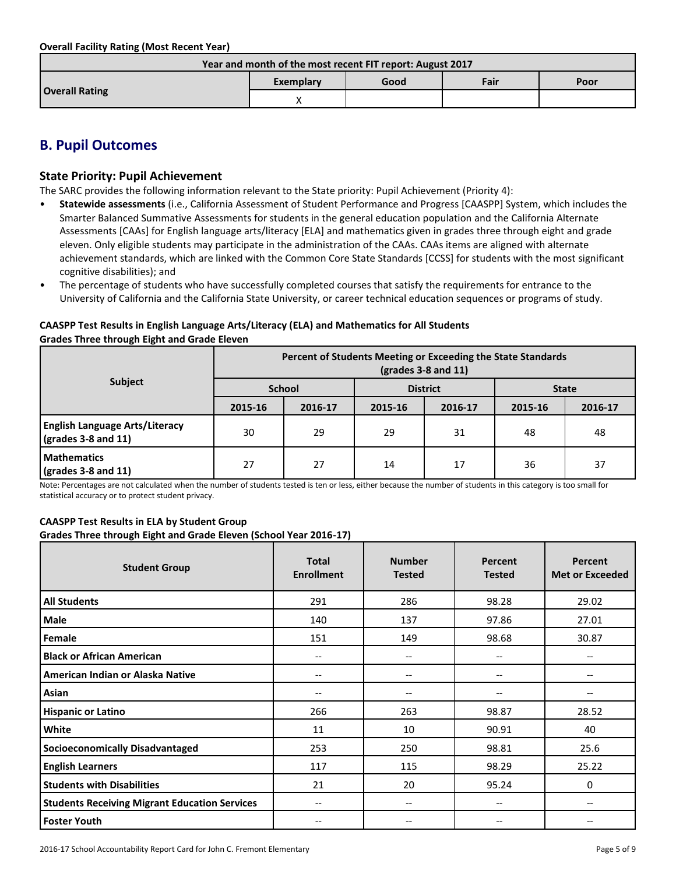**Overall Facility Rating (Most Recent Year)**

| Year and month of the most recent FIT report: August 2017 |           |      |      |      |  |
|-----------------------------------------------------------|-----------|------|------|------|--|
|                                                           | Exemplary | Good | Fair | Poor |  |
| <b>Overall Rating</b>                                     |           |      |      |      |  |

# **B. Pupil Outcomes**

# **State Priority: Pupil Achievement**

The SARC provides the following information relevant to the State priority: Pupil Achievement (Priority 4):

- **Statewide assessments** (i.e., California Assessment of Student Performance and Progress [CAASPP] System, which includes the Smarter Balanced Summative Assessments for students in the general education population and the California Alternate Assessments [CAAs] for English language arts/literacy [ELA] and mathematics given in grades three through eight and grade eleven. Only eligible students may participate in the administration of the CAAs. CAAs items are aligned with alternate achievement standards, which are linked with the Common Core State Standards [CCSS] for students with the most significant cognitive disabilities); and
- The percentage of students who have successfully completed courses that satisfy the requirements for entrance to the University of California and the California State University, or career technical education sequences or programs of study.

### **CAASPP Test Results in English Language Arts/Literacy (ELA) and Mathematics for All Students Grades Three through Eight and Grade Eleven**

|                                                                      | Percent of Students Meeting or Exceeding the State Standards<br>$\left(\text{grades }3 - 8 \text{ and } 11\right)$ |         |                 |         |              |         |  |
|----------------------------------------------------------------------|--------------------------------------------------------------------------------------------------------------------|---------|-----------------|---------|--------------|---------|--|
| <b>Subject</b>                                                       | <b>School</b>                                                                                                      |         | <b>District</b> |         | <b>State</b> |         |  |
|                                                                      | 2015-16                                                                                                            | 2016-17 | 2015-16         | 2016-17 | 2015-16      | 2016-17 |  |
| <b>English Language Arts/Literacy</b><br>$\sqrt{grades}$ 3-8 and 11) | 30                                                                                                                 | 29      | 29              | 31      | 48           | 48      |  |
| <b>Mathematics</b><br>$\sqrt{\frac{1}{2}}$ (grades 3-8 and 11)       | 27                                                                                                                 | 27      | 14              | 17      | 36           | 37      |  |

Note: Percentages are not calculated when the number of students tested is ten or less, either because the number of students in this category is too small for statistical accuracy or to protect student privacy.

# **CAASPP Test Results in ELA by Student Group**

**Grades Three through Eight and Grade Eleven (School Year 2016-17)**

| <b>Student Group</b>                                 | <b>Total</b><br><b>Enrollment</b> | <b>Number</b><br><b>Tested</b>        | Percent<br><b>Tested</b> | <b>Percent</b><br><b>Met or Exceeded</b> |
|------------------------------------------------------|-----------------------------------|---------------------------------------|--------------------------|------------------------------------------|
| <b>All Students</b>                                  | 291                               | 286                                   | 98.28                    | 29.02                                    |
| Male                                                 | 140                               | 137                                   | 97.86                    | 27.01                                    |
| Female                                               | 151                               | 149                                   | 98.68                    | 30.87                                    |
| <b>Black or African American</b>                     | $\overline{\phantom{a}}$          | $\hspace{0.05cm}$ – $\hspace{0.05cm}$ | --                       |                                          |
| American Indian or Alaska Native                     | $\overline{\phantom{m}}$          | $\hspace{0.05cm}$ – $\hspace{0.05cm}$ | $\overline{\phantom{m}}$ | --                                       |
| Asian                                                | --                                | --                                    | --                       |                                          |
| <b>Hispanic or Latino</b>                            | 266                               | 263                                   | 98.87                    | 28.52                                    |
| White                                                | 11                                | 10                                    | 90.91                    | 40                                       |
| <b>Socioeconomically Disadvantaged</b>               | 253                               | 250                                   | 98.81                    | 25.6                                     |
| <b>English Learners</b>                              | 117                               | 115                                   | 98.29                    | 25.22                                    |
| <b>Students with Disabilities</b>                    | 21                                | 20                                    | 95.24                    | 0                                        |
| <b>Students Receiving Migrant Education Services</b> | --                                | $\hspace{0.05cm}$ – $\hspace{0.05cm}$ | --                       | --                                       |
| <b>Foster Youth</b>                                  | $-$                               | $\hspace{0.05cm}$ – $\hspace{0.05cm}$ | --                       |                                          |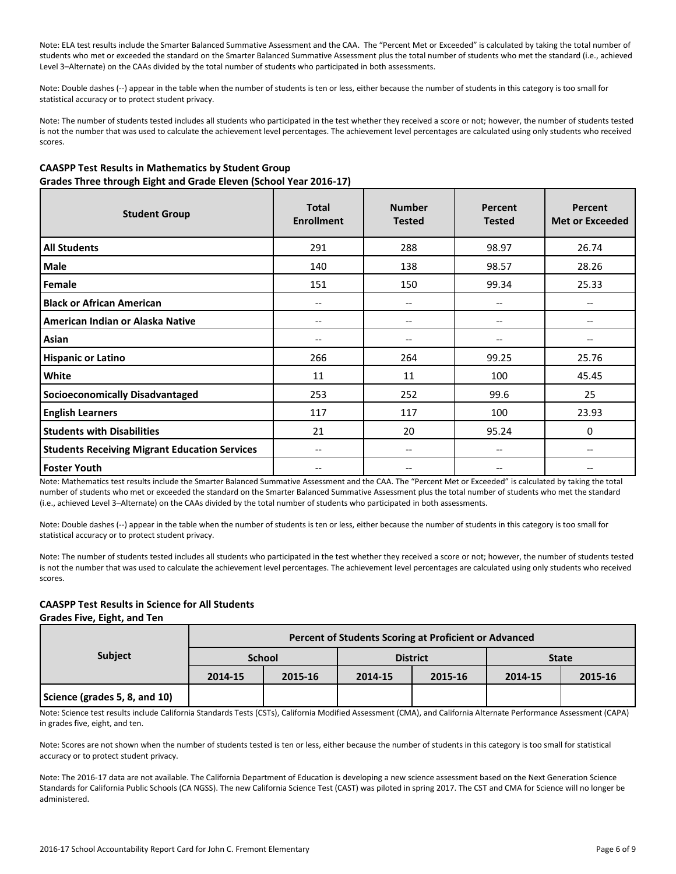Note: ELA test results include the Smarter Balanced Summative Assessment and the CAA. The "Percent Met or Exceeded" is calculated by taking the total number of students who met or exceeded the standard on the Smarter Balanced Summative Assessment plus the total number of students who met the standard (i.e., achieved Level 3–Alternate) on the CAAs divided by the total number of students who participated in both assessments.

Note: Double dashes (--) appear in the table when the number of students is ten or less, either because the number of students in this category is too small for statistical accuracy or to protect student privacy.

Note: The number of students tested includes all students who participated in the test whether they received a score or not; however, the number of students tested is not the number that was used to calculate the achievement level percentages. The achievement level percentages are calculated using only students who received scores.

# **CAASPP Test Results in Mathematics by Student Group Grades Three through Eight and Grade Eleven (School Year 2016-17)**

| <b>Student Group</b>                                 | <b>Total</b><br><b>Enrollment</b> | <b>Number</b><br><b>Tested</b>        | Percent<br><b>Tested</b>      | <b>Percent</b><br><b>Met or Exceeded</b> |
|------------------------------------------------------|-----------------------------------|---------------------------------------|-------------------------------|------------------------------------------|
| <b>All Students</b>                                  | 291                               | 288                                   | 98.97                         | 26.74                                    |
| Male                                                 | 140                               | 138                                   | 98.57                         | 28.26                                    |
| Female                                               | 151                               | 150                                   | 99.34                         | 25.33                                    |
| <b>Black or African American</b>                     | --                                | --                                    | --                            |                                          |
| American Indian or Alaska Native                     | --                                | $\hspace{0.05cm}$ – $\hspace{0.05cm}$ | --                            | --                                       |
| Asian                                                | --                                | $\hspace{0.05cm}$ – $\hspace{0.05cm}$ | --                            |                                          |
| <b>Hispanic or Latino</b>                            | 266                               | 264                                   | 99.25                         | 25.76                                    |
| White                                                | 11                                | 11                                    | 100                           | 45.45                                    |
| <b>Socioeconomically Disadvantaged</b>               | 253                               | 252                                   | 99.6                          | 25                                       |
| <b>English Learners</b>                              | 117                               | 117                                   | 100                           | 23.93                                    |
| <b>Students with Disabilities</b>                    | 21                                | 20                                    | 95.24                         | 0                                        |
| <b>Students Receiving Migrant Education Services</b> | --                                | $\hspace{0.05cm}$ – $\hspace{0.05cm}$ | $\hspace{0.05cm} \textbf{--}$ | --                                       |
| <b>Foster Youth</b>                                  |                                   | --                                    | --                            |                                          |

Note: Mathematics test results include the Smarter Balanced Summative Assessment and the CAA. The "Percent Met or Exceeded" is calculated by taking the total number of students who met or exceeded the standard on the Smarter Balanced Summative Assessment plus the total number of students who met the standard (i.e., achieved Level 3–Alternate) on the CAAs divided by the total number of students who participated in both assessments.

Note: Double dashes (--) appear in the table when the number of students is ten or less, either because the number of students in this category is too small for statistical accuracy or to protect student privacy.

Note: The number of students tested includes all students who participated in the test whether they received a score or not; however, the number of students tested is not the number that was used to calculate the achievement level percentages. The achievement level percentages are calculated using only students who received scores.

# **CAASPP Test Results in Science for All Students**

**Grades Five, Eight, and Ten**

|                               | Percent of Students Scoring at Proficient or Advanced |               |         |                 |              |         |  |  |
|-------------------------------|-------------------------------------------------------|---------------|---------|-----------------|--------------|---------|--|--|
| <b>Subject</b>                |                                                       | <b>School</b> |         | <b>District</b> | <b>State</b> |         |  |  |
|                               | 2014-15                                               | 2015-16       | 2014-15 | 2015-16         | 2014-15      | 2015-16 |  |  |
| Science (grades 5, 8, and 10) |                                                       |               |         |                 |              |         |  |  |

Note: Science test results include California Standards Tests (CSTs), California Modified Assessment (CMA), and California Alternate Performance Assessment (CAPA) in grades five, eight, and ten.

Note: Scores are not shown when the number of students tested is ten or less, either because the number of students in this category is too small for statistical accuracy or to protect student privacy.

Note: The 2016-17 data are not available. The California Department of Education is developing a new science assessment based on the Next Generation Science Standards for California Public Schools (CA NGSS). The new California Science Test (CAST) was piloted in spring 2017. The CST and CMA for Science will no longer be administered.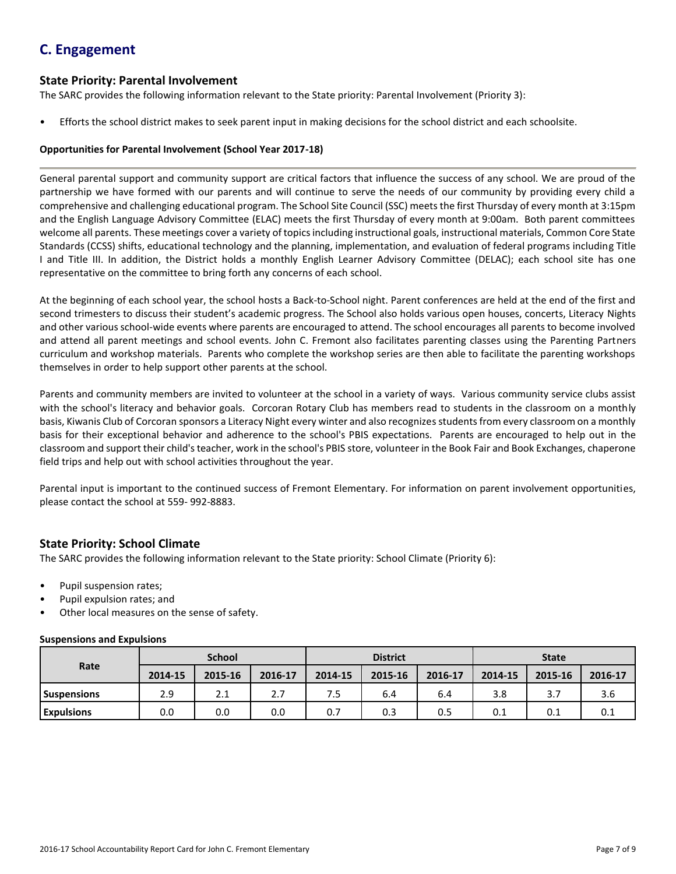# **C. Engagement**

# **State Priority: Parental Involvement**

The SARC provides the following information relevant to the State priority: Parental Involvement (Priority 3):

• Efforts the school district makes to seek parent input in making decisions for the school district and each schoolsite.

# **Opportunities for Parental Involvement (School Year 2017-18)**

General parental support and community support are critical factors that influence the success of any school. We are proud of the partnership we have formed with our parents and will continue to serve the needs of our community by providing every child a comprehensive and challenging educational program. The School Site Council (SSC) meets the first Thursday of every month at 3:15pm and the English Language Advisory Committee (ELAC) meets the first Thursday of every month at 9:00am. Both parent committees welcome all parents. These meetings cover a variety of topics including instructional goals, instructional materials, Common Core State Standards (CCSS) shifts, educational technology and the planning, implementation, and evaluation of federal programs including Title I and Title III. In addition, the District holds a monthly English Learner Advisory Committee (DELAC); each school site has one representative on the committee to bring forth any concerns of each school.

At the beginning of each school year, the school hosts a Back-to-School night. Parent conferences are held at the end of the first and second trimesters to discuss their student's academic progress. The School also holds various open houses, concerts, Literacy Nights and other various school-wide events where parents are encouraged to attend. The school encourages all parents to become involved and attend all parent meetings and school events. John C. Fremont also facilitates parenting classes using the Parenting Partners curriculum and workshop materials. Parents who complete the workshop series are then able to facilitate the parenting workshops themselves in order to help support other parents at the school.

Parents and community members are invited to volunteer at the school in a variety of ways. Various community service clubs assist with the school's literacy and behavior goals. Corcoran Rotary Club has members read to students in the classroom on a monthly basis, Kiwanis Club of Corcoran sponsors a Literacy Night every winter and also recognizes students from every classroom on a monthly basis for their exceptional behavior and adherence to the school's PBIS expectations. Parents are encouraged to help out in the classroom and support their child's teacher, work in the school's PBIS store, volunteer in the Book Fair and Book Exchanges, chaperone field trips and help out with school activities throughout the year.

Parental input is important to the continued success of Fremont Elementary. For information on parent involvement opportunities, please contact the school at 559- 992-8883.

# **State Priority: School Climate**

The SARC provides the following information relevant to the State priority: School Climate (Priority 6):

- Pupil suspension rates;
- Pupil expulsion rates; and
- Other local measures on the sense of safety.

# **Suspensions and Expulsions**

|                    | <b>School</b> |         |         | <b>District</b> |         |         | <b>State</b> |         |         |
|--------------------|---------------|---------|---------|-----------------|---------|---------|--------------|---------|---------|
| Rate               | 2014-15       | 2015-16 | 2016-17 | 2014-15         | 2015-16 | 2016-17 | 2014-15      | 2015-16 | 2016-17 |
| <b>Suspensions</b> | 2.9           | 2.1     | 2.7     | 7.5             | 6.4     | 6.4     | 3.8          |         | 3.6     |
| <b>Expulsions</b>  | 0.0           | 0.0     | 0.0     | 0.7             | 0.3     | 0.5     | 0.1          | 0.1     | 0.1     |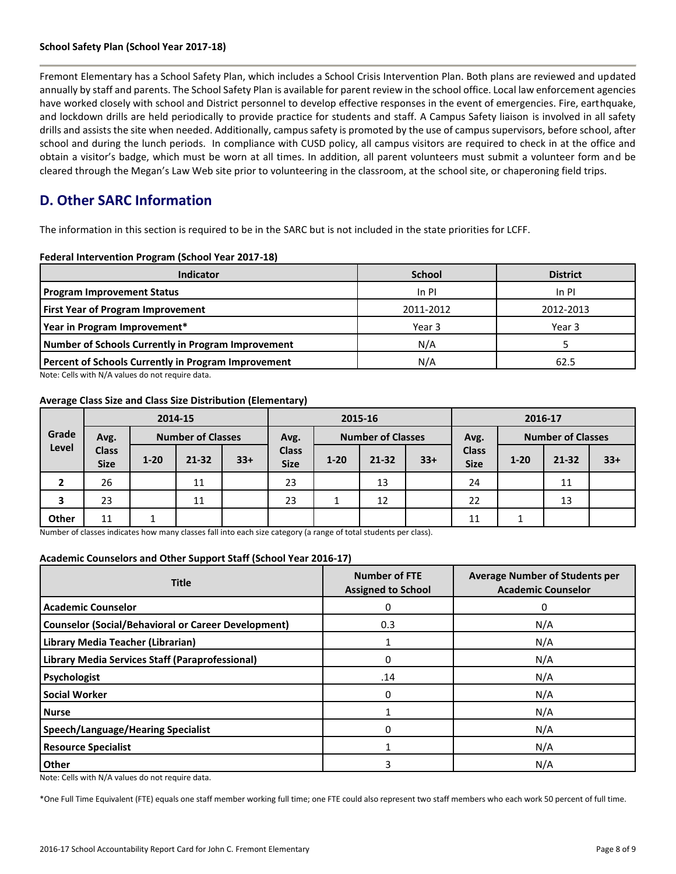#### **School Safety Plan (School Year 2017-18)**

Fremont Elementary has a School Safety Plan, which includes a School Crisis Intervention Plan. Both plans are reviewed and updated annually by staff and parents. The School Safety Plan is available for parent review in the school office. Local law enforcement agencies have worked closely with school and District personnel to develop effective responses in the event of emergencies. Fire, earthquake, and lockdown drills are held periodically to provide practice for students and staff. A Campus Safety liaison is involved in all safety drills and assists the site when needed. Additionally, campus safety is promoted by the use of campus supervisors, before school, after school and during the lunch periods. In compliance with CUSD policy, all campus visitors are required to check in at the office and obtain a visitor's badge, which must be worn at all times. In addition, all parent volunteers must submit a volunteer form and be cleared through the Megan's Law Web site prior to volunteering in the classroom, at the school site, or chaperoning field trips.

# **D. Other SARC Information**

The information in this section is required to be in the SARC but is not included in the state priorities for LCFF.

# **Federal Intervention Program (School Year 2017-18)**

| <b>Indicator</b>                                           | <b>School</b> | <b>District</b> |
|------------------------------------------------------------|---------------|-----------------|
| <b>Program Improvement Status</b>                          | In PI         | In PI           |
| <b>First Year of Program Improvement</b>                   | 2011-2012     | 2012-2013       |
| Year in Program Improvement*                               | Year 3        | Year 3          |
| Number of Schools Currently in Program Improvement         | N/A           |                 |
| <b>Percent of Schools Currently in Program Improvement</b> | N/A           | 62.5            |

Note: Cells with N/A values do not require data.

#### **Average Class Size and Class Size Distribution (Elementary)**

|       |                             |          | 2014-15                  |       | 2015-16                          |          |       |                          | 2016-17                     |          |           |       |
|-------|-----------------------------|----------|--------------------------|-------|----------------------------------|----------|-------|--------------------------|-----------------------------|----------|-----------|-------|
| Grade | Avg.                        |          | <b>Number of Classes</b> |       | <b>Number of Classes</b><br>Avg. |          | Avg.  | <b>Number of Classes</b> |                             |          |           |       |
| Level | <b>Class</b><br><b>Size</b> | $1 - 20$ | $21 - 32$                | $33+$ | <b>Class</b><br><b>Size</b>      | $1 - 20$ | 21-32 | $33+$                    | <b>Class</b><br><b>Size</b> | $1 - 20$ | $21 - 32$ | $33+$ |
| 2     | 26                          |          | 11                       |       | 23                               |          | 13    |                          | 24                          |          | 11        |       |
| 3     | 23                          |          | 11                       |       | 23                               | <b>T</b> | 12    |                          | 22                          |          | 13        |       |
| Other | 11                          |          |                          |       |                                  |          |       |                          | 11                          |          |           |       |

Number of classes indicates how many classes fall into each size category (a range of total students per class).

#### **Academic Counselors and Other Support Staff (School Year 2016-17)**

| <b>Title</b>                                               | <b>Number of FTE</b><br><b>Assigned to School</b> | <b>Average Number of Students per</b><br><b>Academic Counselor</b> |  |
|------------------------------------------------------------|---------------------------------------------------|--------------------------------------------------------------------|--|
| <b>Academic Counselor</b>                                  | 0                                                 | 0                                                                  |  |
| <b>Counselor (Social/Behavioral or Career Development)</b> | 0.3                                               | N/A                                                                |  |
| Library Media Teacher (Librarian)                          |                                                   | N/A                                                                |  |
| Library Media Services Staff (Paraprofessional)            | 0                                                 | N/A                                                                |  |
| Psychologist                                               | .14                                               | N/A                                                                |  |
| <b>Social Worker</b>                                       | 0                                                 | N/A                                                                |  |
| <b>Nurse</b>                                               |                                                   | N/A                                                                |  |
| <b>Speech/Language/Hearing Specialist</b>                  | 0                                                 | N/A                                                                |  |
| <b>Resource Specialist</b>                                 |                                                   | N/A                                                                |  |
| Other                                                      | 3                                                 | N/A                                                                |  |

Note: Cells with N/A values do not require data.

\*One Full Time Equivalent (FTE) equals one staff member working full time; one FTE could also represent two staff members who each work 50 percent of full time.